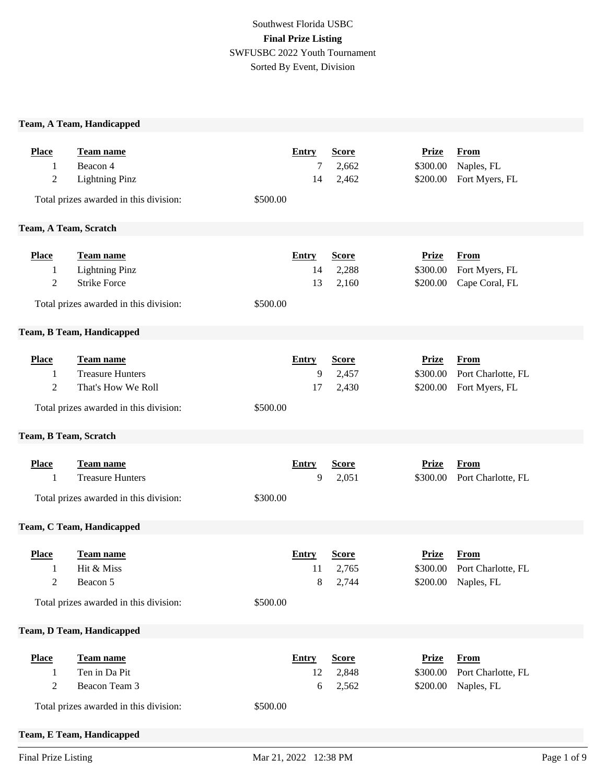# Southwest Florida USBC **Final Prize Listing** SWFUSBC 2022 Youth Tournament Sorted By Event, Division

### **Team, A Team, Handicapped**

| <b>Place</b><br>1<br>$\overline{c}$ | <b>Team name</b><br>Beacon 4<br><b>Lightning Pinz</b><br>Total prizes awarded in this division:                                  | <b>Entry</b><br>7<br>14<br>\$500.00  | <b>Score</b><br>2,662<br>2,462      | <b>Prize</b><br>\$300.00<br>\$200.00 | <b>From</b><br>Naples, FL<br>Fort Myers, FL              |
|-------------------------------------|----------------------------------------------------------------------------------------------------------------------------------|--------------------------------------|-------------------------------------|--------------------------------------|----------------------------------------------------------|
| Team, A Team, Scratch               |                                                                                                                                  |                                      |                                     |                                      |                                                          |
| <b>Place</b><br>1<br>$\overline{c}$ | Team name<br><b>Lightning Pinz</b><br><b>Strike Force</b><br>Total prizes awarded in this division:<br>Team, B Team, Handicapped | <b>Entry</b><br>14<br>13<br>\$500.00 | <b>Score</b><br>2,288<br>2,160      | <b>Prize</b><br>\$300.00<br>\$200.00 | <b>From</b><br>Fort Myers, FL<br>Cape Coral, FL          |
| <b>Place</b><br>1<br>$\overline{c}$ | Team name<br><b>Treasure Hunters</b><br>That's How We Roll<br>Total prizes awarded in this division:                             | <b>Entry</b><br>9<br>17<br>\$500.00  | <b>Score</b><br>2,457<br>2,430      | <b>Prize</b><br>\$300.00<br>\$200.00 | <b>From</b><br>Port Charlotte, FL<br>Fort Myers, FL      |
| Team, B Team, Scratch               |                                                                                                                                  |                                      |                                     |                                      |                                                          |
| <b>Place</b><br>1                   | Team name<br><b>Treasure Hunters</b><br>Total prizes awarded in this division:                                                   | <b>Entry</b><br>9<br>\$300.00        | <b>Score</b><br>2,051               | <b>Prize</b><br>\$300.00             | <b>From</b><br>Port Charlotte, FL                        |
|                                     | Team, C Team, Handicapped                                                                                                        |                                      |                                     |                                      |                                                          |
| <b>Place</b><br>1<br>2              | <b>Team name</b><br>Hit & Miss<br>Beacon 5<br>Total prizes awarded in this division:                                             | <b>Entry</b><br>11<br>\$500.00       | <b>Score</b><br>2,765<br>2,744<br>8 | <b>Prize</b><br>\$300.00             | <b>From</b><br>Port Charlotte, FL<br>\$200.00 Naples, FL |
|                                     | <b>Team, D Team, Handicapped</b>                                                                                                 |                                      |                                     |                                      |                                                          |
| <b>Place</b><br>1<br>$\overline{c}$ | Team name<br>Ten in Da Pit<br>Beacon Team 3<br>Total prizes awarded in this division:<br>Team, E Team, Handicapped               | <b>Entry</b><br>12<br>6<br>\$500.00  | <b>Score</b><br>2,848<br>2,562      | <b>Prize</b><br>\$300.00<br>\$200.00 | <b>From</b><br>Port Charlotte, FL<br>Naples, FL          |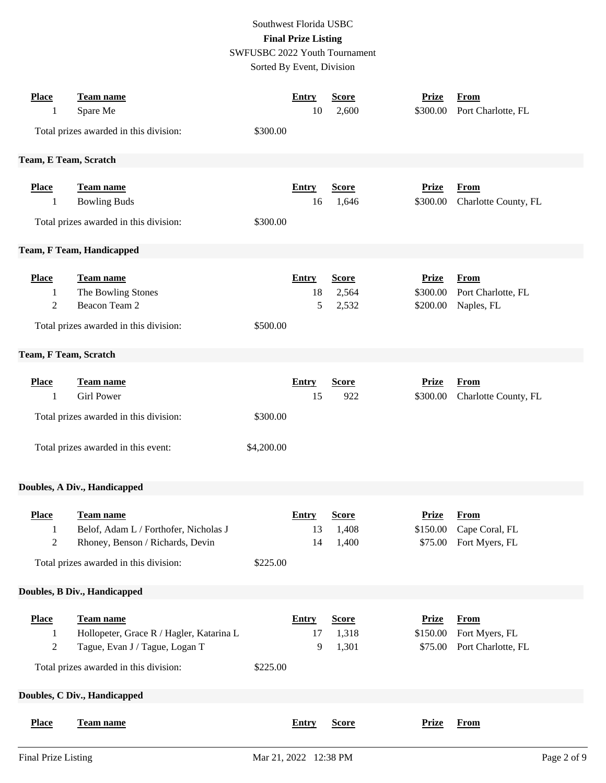### Southwest Florida USBC **Final Prize Listing** SWFUSBC 2022 Youth Tournament

Sorted By Event, Division

| <b>Place</b><br>1                              | Team name<br>Spare Me                                                                          |            | <b>Entry</b><br>10       | <b>Score</b><br>2,600          | <b>Prize</b><br>\$300.00             | <b>From</b><br>Port Charlotte, FL                   |
|------------------------------------------------|------------------------------------------------------------------------------------------------|------------|--------------------------|--------------------------------|--------------------------------------|-----------------------------------------------------|
|                                                | Total prizes awarded in this division:                                                         | \$300.00   |                          |                                |                                      |                                                     |
| Team, E Team, Scratch                          |                                                                                                |            |                          |                                |                                      |                                                     |
| <b>Place</b><br>1                              | <b>Team name</b><br><b>Bowling Buds</b><br>Total prizes awarded in this division:              | \$300.00   | <b>Entry</b><br>16       | <b>Score</b><br>1,646          | <b>Prize</b><br>\$300.00             | <b>From</b><br>Charlotte County, FL                 |
|                                                | Team, F Team, Handicapped                                                                      |            |                          |                                |                                      |                                                     |
| <b>Place</b><br>1<br>$\overline{2}$            | Team name<br>The Bowling Stones<br>Beacon Team 2<br>Total prizes awarded in this division:     | \$500.00   | <b>Entry</b><br>18<br>5  | <b>Score</b><br>2,564<br>2,532 | <b>Prize</b><br>\$300.00<br>\$200.00 | From<br>Port Charlotte, FL<br>Naples, FL            |
| Team, F Team, Scratch                          |                                                                                                |            |                          |                                |                                      |                                                     |
| <b>Place</b><br>1                              | Team name<br><b>Girl Power</b>                                                                 |            | <b>Entry</b><br>15       | <b>Score</b><br>922            | <b>Prize</b><br>\$300.00             | <b>From</b><br>Charlotte County, FL                 |
|                                                | Total prizes awarded in this division:                                                         | \$300.00   |                          |                                |                                      |                                                     |
|                                                | Total prizes awarded in this event:                                                            | \$4,200.00 |                          |                                |                                      |                                                     |
|                                                | Doubles, A Div., Handicapped                                                                   |            |                          |                                |                                      |                                                     |
| <b>Place</b><br>$\mathbf{1}$<br>$\overline{c}$ | <b>Team name</b><br>Belof, Adam L / Forthofer, Nicholas J<br>Rhoney, Benson / Richards, Devin  |            | <b>Entry</b><br>13<br>14 | <b>Score</b><br>1,408<br>1,400 | <b>Prize</b><br>\$150.00<br>\$75.00  | From<br>Cape Coral, FL<br>Fort Myers, FL            |
|                                                | Total prizes awarded in this division:                                                         | \$225.00   |                          |                                |                                      |                                                     |
|                                                | Doubles, B Div., Handicapped                                                                   |            |                          |                                |                                      |                                                     |
| <b>Place</b><br>1<br>$\sqrt{2}$                | <b>Team name</b><br>Hollopeter, Grace R / Hagler, Katarina L<br>Tague, Evan J / Tague, Logan T |            | <b>Entry</b><br>17<br>9  | <b>Score</b><br>1,318<br>1,301 | <b>Prize</b><br>\$150.00<br>\$75.00  | <b>From</b><br>Fort Myers, FL<br>Port Charlotte, FL |
|                                                | Total prizes awarded in this division:                                                         | \$225.00   |                          |                                |                                      |                                                     |
|                                                | Doubles, C Div., Handicapped                                                                   |            |                          |                                |                                      |                                                     |
| <b>Place</b>                                   | Team name                                                                                      |            | <b>Entry</b>             | <b>Score</b>                   | <b>Prize</b>                         | <b>From</b>                                         |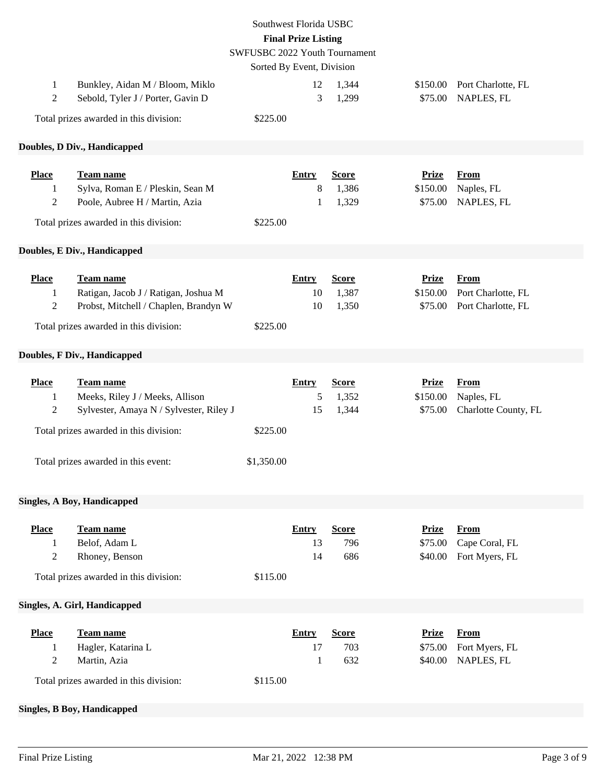| Southwest Florida USBC<br><b>Final Prize Listing</b><br>SWFUSBC 2022 Youth Tournament<br>Sorted By Event, Division |                                                                                                                                                                                 |                        |                          |                                |                                     |                                                         |  |
|--------------------------------------------------------------------------------------------------------------------|---------------------------------------------------------------------------------------------------------------------------------------------------------------------------------|------------------------|--------------------------|--------------------------------|-------------------------------------|---------------------------------------------------------|--|
| 1<br>2                                                                                                             | Bunkley, Aidan M / Bloom, Miklo<br>Sebold, Tyler J / Porter, Gavin D                                                                                                            |                        | 12<br>3                  | 1,344<br>1,299                 | \$150.00<br>\$75.00                 | Port Charlotte, FL<br>NAPLES, FL                        |  |
|                                                                                                                    | Total prizes awarded in this division:                                                                                                                                          | \$225.00               |                          |                                |                                     |                                                         |  |
|                                                                                                                    | Doubles, D Div., Handicapped                                                                                                                                                    |                        |                          |                                |                                     |                                                         |  |
| <b>Place</b>                                                                                                       | Team name                                                                                                                                                                       |                        | <b>Entry</b>             | <b>Score</b>                   | <b>Prize</b>                        | <b>From</b>                                             |  |
| 1                                                                                                                  | Sylva, Roman E / Pleskin, Sean M                                                                                                                                                |                        | 8                        | 1,386                          | \$150.00                            | Naples, FL                                              |  |
| 2                                                                                                                  | Poole, Aubree H / Martin, Azia                                                                                                                                                  |                        | 1                        | 1,329                          | \$75.00                             | NAPLES, FL                                              |  |
|                                                                                                                    | Total prizes awarded in this division:                                                                                                                                          | \$225.00               |                          |                                |                                     |                                                         |  |
|                                                                                                                    | Doubles, E Div., Handicapped                                                                                                                                                    |                        |                          |                                |                                     |                                                         |  |
| <b>Place</b><br>1<br>2                                                                                             | <b>Team name</b><br>Ratigan, Jacob J / Ratigan, Joshua M<br>Probst, Mitchell / Chaplen, Brandyn W<br>Total prizes awarded in this division:                                     | \$225.00               | <b>Entry</b><br>10<br>10 | <b>Score</b><br>1,387<br>1,350 | <b>Prize</b><br>\$150.00<br>\$75.00 | <b>From</b><br>Port Charlotte, FL<br>Port Charlotte, FL |  |
|                                                                                                                    | Doubles, F Div., Handicapped                                                                                                                                                    |                        |                          |                                |                                     |                                                         |  |
| <b>Place</b><br>1<br>2                                                                                             | <b>Team name</b><br>Meeks, Riley J / Meeks, Allison<br>Sylvester, Amaya N / Sylvester, Riley J<br>Total prizes awarded in this division:<br>Total prizes awarded in this event: | \$225.00<br>\$1,350.00 | <b>Entry</b><br>5<br>15  | <b>Score</b><br>1,352<br>1,344 | <b>Prize</b><br>\$150.00<br>\$75.00 | <b>From</b><br>Naples, FL<br>Charlotte County, FL       |  |
|                                                                                                                    | <b>Singles, A Boy, Handicapped</b>                                                                                                                                              |                        |                          |                                |                                     |                                                         |  |
| <b>Place</b><br>1<br>$\overline{c}$                                                                                | Team name<br>Belof, Adam L<br>Rhoney, Benson<br>Total prizes awarded in this division:                                                                                          | \$115.00               | <b>Entry</b><br>13<br>14 | <b>Score</b><br>796<br>686     | <b>Prize</b><br>\$75.00<br>\$40.00  | <b>From</b><br>Cape Coral, FL<br>Fort Myers, FL         |  |
|                                                                                                                    | Singles, A. Girl, Handicapped                                                                                                                                                   |                        |                          |                                |                                     |                                                         |  |
| <b>Place</b><br>1<br>2                                                                                             | <b>Team name</b><br>Hagler, Katarina L<br>Martin, Azia                                                                                                                          |                        | <b>Entry</b><br>17<br>1  | <b>Score</b><br>703<br>632     | <b>Prize</b><br>\$75.00<br>\$40.00  | <b>From</b><br>Fort Myers, FL<br>NAPLES, FL             |  |
|                                                                                                                    | Total prizes awarded in this division:                                                                                                                                          | \$115.00               |                          |                                |                                     |                                                         |  |
|                                                                                                                    | <b>Singles, B Boy, Handicapped</b>                                                                                                                                              |                        |                          |                                |                                     |                                                         |  |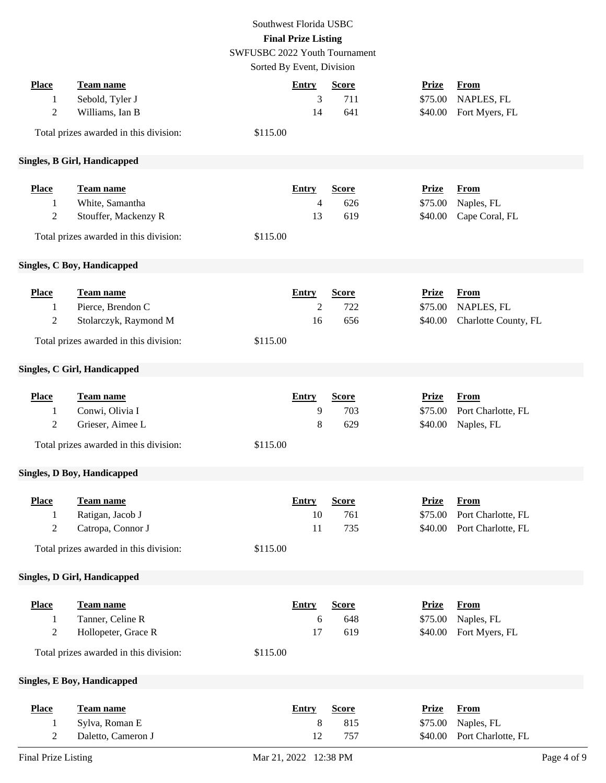# Southwest Florida USBC **Final Prize Listing**

SWFUSBC 2022 Youth Tournament

Sorted By Event, Division

|                                       |                                                                                                     | $\mathcal{L}$                                    |                            |                                    |                                                         |
|---------------------------------------|-----------------------------------------------------------------------------------------------------|--------------------------------------------------|----------------------------|------------------------------------|---------------------------------------------------------|
| <b>Place</b><br>1<br>$\overline{2}$   | <b>Team name</b><br>Sebold, Tyler J<br>Williams, Ian B<br>Total prizes awarded in this division:    | <b>Entry</b><br>3<br>14<br>\$115.00              | <b>Score</b><br>711<br>641 | <b>Prize</b><br>\$75.00<br>\$40.00 | <b>From</b><br>NAPLES, FL<br>Fort Myers, FL             |
|                                       | <b>Singles, B Girl, Handicapped</b>                                                                 |                                                  |                            |                                    |                                                         |
|                                       |                                                                                                     |                                                  |                            |                                    |                                                         |
| <b>Place</b><br>1<br>$\overline{2}$   | Team name<br>White, Samantha<br>Stouffer, Mackenzy R<br>Total prizes awarded in this division:      | <b>Entry</b><br>4<br>13<br>\$115.00              | <b>Score</b><br>626<br>619 | <b>Prize</b><br>\$75.00<br>\$40.00 | <b>From</b><br>Naples, FL<br>Cape Coral, FL             |
|                                       | <b>Singles, C Boy, Handicapped</b>                                                                  |                                                  |                            |                                    |                                                         |
| <b>Place</b><br>1<br>$\boldsymbol{2}$ | Team name<br>Pierce, Brendon C<br>Stolarczyk, Raymond M<br>Total prizes awarded in this division:   | <b>Entry</b><br>$\overline{c}$<br>16<br>\$115.00 | <b>Score</b><br>722<br>656 | <b>Prize</b><br>\$75.00<br>\$40.00 | <b>From</b><br>NAPLES, FL<br>Charlotte County, FL       |
|                                       | <b>Singles, C Girl, Handicapped</b>                                                                 |                                                  |                            |                                    |                                                         |
| <b>Place</b><br>1<br>$\overline{2}$   | <b>Team name</b><br>Conwi, Olivia I<br>Grieser, Aimee L<br>Total prizes awarded in this division:   | <b>Entry</b><br>9<br>$\,8\,$<br>\$115.00         | <b>Score</b><br>703<br>629 | <b>Prize</b><br>\$75.00<br>\$40.00 | <b>From</b><br>Port Charlotte, FL<br>Naples, FL         |
|                                       | <b>Singles, D Boy, Handicapped</b>                                                                  |                                                  |                            |                                    |                                                         |
| <b>Place</b><br>1<br>2                | <b>Team name</b><br>Ratigan, Jacob J<br>Catropa, Connor J<br>Total prizes awarded in this division: | <b>Entry</b><br>10<br>11<br>\$115.00             | <b>Score</b><br>761<br>735 | <b>Prize</b><br>\$75.00<br>\$40.00 | <b>From</b><br>Port Charlotte, FL<br>Port Charlotte, FL |
|                                       | <b>Singles, D Girl, Handicapped</b>                                                                 |                                                  |                            |                                    |                                                         |
| <b>Place</b><br>1<br>$\mathbf{2}$     | Team name<br>Tanner, Celine R<br>Hollopeter, Grace R<br>Total prizes awarded in this division:      | <b>Entry</b><br>6<br>17<br>\$115.00              | <b>Score</b><br>648<br>619 | <b>Prize</b><br>\$75.00<br>\$40.00 | From<br>Naples, FL<br>Fort Myers, FL                    |
|                                       | <b>Singles, E Boy, Handicapped</b>                                                                  |                                                  |                            |                                    |                                                         |
| <b>Place</b><br>1<br>$\overline{c}$   | Team name<br>Sylva, Roman E<br>Daletto, Cameron J                                                   | <b>Entry</b><br>8<br>12                          | <b>Score</b><br>815<br>757 | <b>Prize</b><br>\$75.00<br>\$40.00 | <b>From</b><br>Naples, FL<br>Port Charlotte, FL         |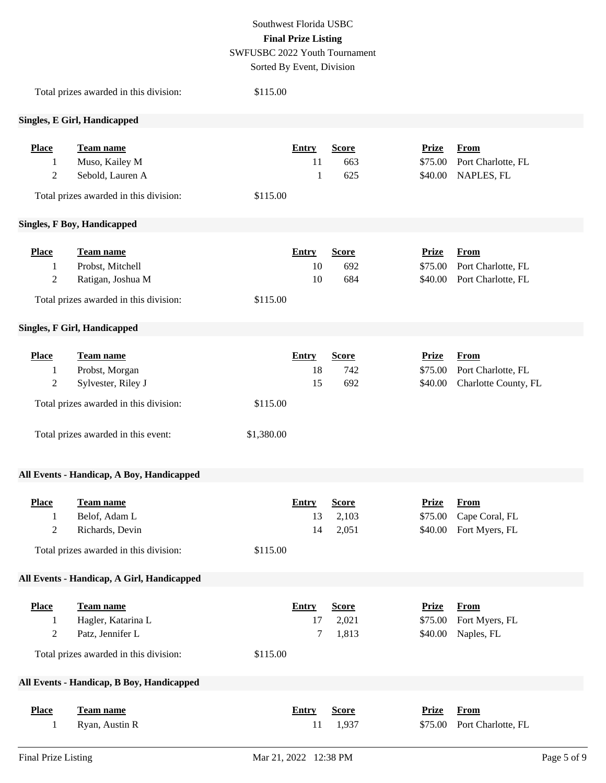### Southwest Florida USBC **Final Prize Listing** SWFUSBC 2022 Youth Tournament

Sorted By Event, Division

|                                       | Total prizes awarded in this division:                                                                                             | \$115.00               |                          |                                |                                    |                                                           |
|---------------------------------------|------------------------------------------------------------------------------------------------------------------------------------|------------------------|--------------------------|--------------------------------|------------------------------------|-----------------------------------------------------------|
|                                       | <b>Singles, E Girl, Handicapped</b>                                                                                                |                        |                          |                                |                                    |                                                           |
| <b>Place</b><br>1<br>$\boldsymbol{2}$ | Team name<br>Muso, Kailey M<br>Sebold, Lauren A<br>Total prizes awarded in this division:                                          | \$115.00               | <b>Entry</b><br>11<br>1  | <b>Score</b><br>663<br>625     | <b>Prize</b><br>\$75.00<br>\$40.00 | From<br>Port Charlotte, FL<br>NAPLES, FL                  |
|                                       | <b>Singles, F Boy, Handicapped</b>                                                                                                 |                        |                          |                                |                                    |                                                           |
| <b>Place</b><br>1<br>$\overline{2}$   | <b>Team name</b><br>Probst, Mitchell<br>Ratigan, Joshua M<br>Total prizes awarded in this division:                                | \$115.00               | <b>Entry</b><br>10<br>10 | <b>Score</b><br>692<br>684     | <b>Prize</b><br>\$75.00<br>\$40.00 | <b>From</b><br>Port Charlotte, FL<br>Port Charlotte, FL   |
|                                       | <b>Singles, F Girl, Handicapped</b>                                                                                                |                        |                          |                                |                                    |                                                           |
| <b>Place</b><br>1<br>$\overline{c}$   | Team name<br>Probst, Morgan<br>Sylvester, Riley J<br>Total prizes awarded in this division:<br>Total prizes awarded in this event: | \$115.00<br>\$1,380.00 | <b>Entry</b><br>18<br>15 | <b>Score</b><br>742<br>692     | <b>Prize</b><br>\$75.00<br>\$40.00 | <b>From</b><br>Port Charlotte, FL<br>Charlotte County, FL |
|                                       | All Events - Handicap, A Boy, Handicapped                                                                                          |                        |                          |                                |                                    |                                                           |
| <b>Place</b><br>$\overline{2}$        | Team name<br>Belof, Adam L<br>Richards, Devin<br>Total prizes awarded in this division:                                            | \$115.00               | <b>Entry</b><br>13<br>14 | <b>Score</b><br>2,103<br>2,051 | <b>Prize</b><br>\$75.00            | <b>From</b><br>Cape Coral, FL<br>\$40.00 Fort Myers, FL   |
|                                       | All Events - Handicap, A Girl, Handicapped                                                                                         |                        |                          |                                |                                    |                                                           |
| <b>Place</b><br>1<br>$\overline{c}$   | <b>Team name</b><br>Hagler, Katarina L<br>Patz, Jennifer L<br>Total prizes awarded in this division:                               | \$115.00               | <b>Entry</b><br>17<br>7  | <b>Score</b><br>2,021<br>1,813 | <b>Prize</b><br>\$75.00<br>\$40.00 | <b>From</b><br>Fort Myers, FL<br>Naples, FL               |
|                                       | All Events - Handicap, B Boy, Handicapped                                                                                          |                        |                          |                                |                                    |                                                           |
| <b>Place</b><br>1                     | Team name<br>Ryan, Austin R                                                                                                        |                        | <b>Entry</b><br>11       | <b>Score</b><br>1,937          | <b>Prize</b><br>\$75.00            | <b>From</b><br>Port Charlotte, FL                         |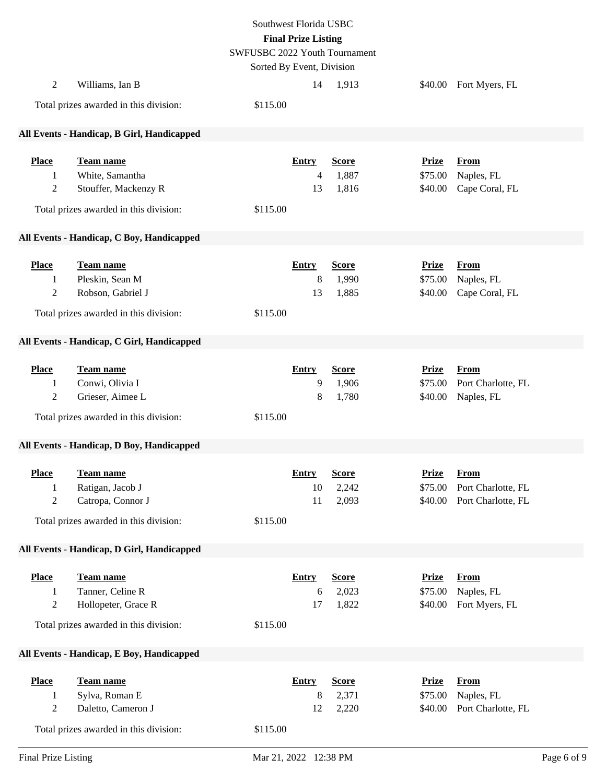|                                                  |                                                                                                     | Southwest Florida USBC<br><b>Final Prize Listing</b><br>SWFUSBC 2022 Youth Tournament<br>Sorted By Event, Division |                                      |                                |                                    |                                                         |
|--------------------------------------------------|-----------------------------------------------------------------------------------------------------|--------------------------------------------------------------------------------------------------------------------|--------------------------------------|--------------------------------|------------------------------------|---------------------------------------------------------|
| $\overline{c}$                                   | Williams, Ian B                                                                                     |                                                                                                                    | 14                                   | 1,913                          |                                    | \$40.00 Fort Myers, FL                                  |
|                                                  | Total prizes awarded in this division:                                                              | \$115.00                                                                                                           |                                      |                                |                                    |                                                         |
|                                                  | All Events - Handicap, B Girl, Handicapped                                                          |                                                                                                                    |                                      |                                |                                    |                                                         |
| <b>Place</b><br>1<br>$\overline{c}$              | Team name<br>White, Samantha<br>Stouffer, Mackenzy R<br>Total prizes awarded in this division:      | \$115.00                                                                                                           | <b>Entry</b><br>$\overline{4}$<br>13 | <b>Score</b><br>1,887<br>1,816 | <b>Prize</b><br>\$75.00<br>\$40.00 | <b>From</b><br>Naples, FL<br>Cape Coral, FL             |
|                                                  | All Events - Handicap, C Boy, Handicapped                                                           |                                                                                                                    |                                      |                                |                                    |                                                         |
| <b>Place</b><br>1<br>$\overline{c}$              | Team name<br>Pleskin, Sean M<br>Robson, Gabriel J<br>Total prizes awarded in this division:         | \$115.00                                                                                                           | <b>Entry</b><br>8<br>13              | <b>Score</b><br>1,990<br>1,885 | <b>Prize</b><br>\$75.00<br>\$40.00 | <b>From</b><br>Naples, FL<br>Cape Coral, FL             |
|                                                  | All Events - Handicap, C Girl, Handicapped                                                          |                                                                                                                    |                                      |                                |                                    |                                                         |
| <b>Place</b><br>1<br>2                           | Team name<br>Conwi, Olivia I<br>Grieser, Aimee L<br>Total prizes awarded in this division:          | \$115.00                                                                                                           | <b>Entry</b><br>9<br>8               | <b>Score</b><br>1,906<br>1,780 | <b>Prize</b><br>\$75.00<br>\$40.00 | <b>From</b><br>Port Charlotte, FL<br>Naples, FL         |
|                                                  | All Events - Handicap, D Boy, Handicapped                                                           |                                                                                                                    |                                      |                                |                                    |                                                         |
| <b>Place</b><br>$\mathbf{1}$<br>$\boldsymbol{2}$ | <b>Team name</b><br>Ratigan, Jacob J<br>Catropa, Connor J<br>Total prizes awarded in this division: | \$115.00                                                                                                           | <b>Entry</b><br>10<br>11             | <b>Score</b><br>2,242<br>2,093 | <b>Prize</b><br>\$75.00<br>\$40.00 | <b>From</b><br>Port Charlotte, FL<br>Port Charlotte, FL |
|                                                  | All Events - Handicap, D Girl, Handicapped                                                          |                                                                                                                    |                                      |                                |                                    |                                                         |
| <b>Place</b><br>1<br>$\overline{c}$              | Team name<br>Tanner, Celine R<br>Hollopeter, Grace R<br>Total prizes awarded in this division:      | \$115.00                                                                                                           | <b>Entry</b><br>6<br>17              | <b>Score</b><br>2,023<br>1,822 | <b>Prize</b><br>\$75.00<br>\$40.00 | <b>From</b><br>Naples, FL<br>Fort Myers, FL             |
|                                                  | All Events - Handicap, E Boy, Handicapped                                                           |                                                                                                                    |                                      |                                |                                    |                                                         |
| <b>Place</b><br>1<br>$\boldsymbol{2}$            | Team name<br>Sylva, Roman E<br>Daletto, Cameron J<br>Total prizes awarded in this division:         | \$115.00                                                                                                           | <b>Entry</b><br>$8\,$<br>12          | <b>Score</b><br>2,371<br>2,220 | <b>Prize</b><br>\$75.00<br>\$40.00 | <b>From</b><br>Naples, FL<br>Port Charlotte, FL         |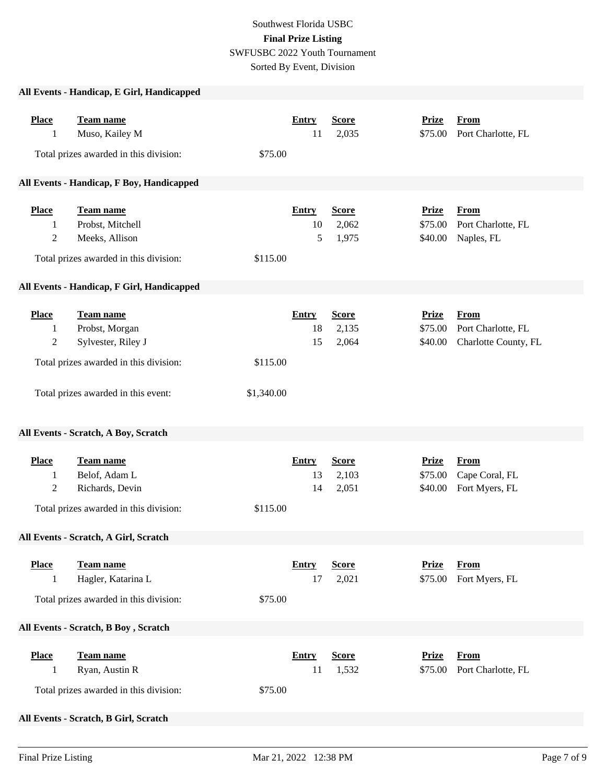# Southwest Florida USBC **Final Prize Listing** SWFUSBC 2022 Youth Tournament Sorted By Event, Division

### **All Events - Handicap, E Girl, Handicapped**

| <b>Place</b><br>1                   | Team name<br>Muso, Kailey M<br>Total prizes awarded in this division:                                                              | <b>Entry</b><br>11<br>\$75.00                      | <b>Score</b><br>2,035          | <b>Prize</b><br>\$75.00            | <b>From</b><br>Port Charlotte, FL                         |  |  |  |
|-------------------------------------|------------------------------------------------------------------------------------------------------------------------------------|----------------------------------------------------|--------------------------------|------------------------------------|-----------------------------------------------------------|--|--|--|
|                                     | All Events - Handicap, F Boy, Handicapped                                                                                          |                                                    |                                |                                    |                                                           |  |  |  |
| <b>Place</b><br>1<br>$\overline{c}$ | Team name<br>Probst, Mitchell<br>Meeks, Allison<br>Total prizes awarded in this division:                                          | Entry<br>10<br>5<br>\$115.00                       | <b>Score</b><br>2,062<br>1,975 | <b>Prize</b><br>\$75.00<br>\$40.00 | <b>From</b><br>Port Charlotte, FL<br>Naples, FL           |  |  |  |
|                                     | All Events - Handicap, F Girl, Handicapped                                                                                         |                                                    |                                |                                    |                                                           |  |  |  |
| <b>Place</b><br>1<br>$\overline{c}$ | Team name<br>Probst, Morgan<br>Sylvester, Riley J<br>Total prizes awarded in this division:<br>Total prizes awarded in this event: | <b>Entry</b><br>18<br>15<br>\$115.00<br>\$1,340.00 | <b>Score</b><br>2,135<br>2,064 | <b>Prize</b><br>\$75.00<br>\$40.00 | <b>From</b><br>Port Charlotte, FL<br>Charlotte County, FL |  |  |  |
|                                     | All Events - Scratch, A Boy, Scratch                                                                                               |                                                    |                                |                                    |                                                           |  |  |  |
| <b>Place</b><br>1<br>$\mathfrak 2$  | Team name<br>Belof, Adam L<br>Richards, Devin<br>Total prizes awarded in this division:                                            | <b>Entry</b><br>13<br>14<br>\$115.00               | <b>Score</b><br>2,103<br>2,051 | <b>Prize</b><br>\$75.00<br>\$40.00 | <b>From</b><br>Cape Coral, FL<br>Fort Myers, FL           |  |  |  |
|                                     | All Events - Scratch, A Girl, Scratch                                                                                              |                                                    |                                |                                    |                                                           |  |  |  |
| <b>Place</b><br>1                   | <b>Team name</b><br>Hagler, Katarina L<br>Total prizes awarded in this division:                                                   | <b>Entry</b><br>17<br>\$75.00                      | <b>Score</b><br>2,021          | <b>Prize</b><br>\$75.00            | <b>From</b><br>Fort Myers, FL                             |  |  |  |
|                                     | All Events - Scratch, B Boy, Scratch                                                                                               |                                                    |                                |                                    |                                                           |  |  |  |
| <b>Place</b><br>1                   | Team name<br>Ryan, Austin R<br>Total prizes awarded in this division:                                                              | <b>Entry</b><br>11<br>\$75.00                      | <b>Score</b><br>1,532          | <b>Prize</b><br>\$75.00            | <b>From</b><br>Port Charlotte, FL                         |  |  |  |
|                                     | All Events - Scratch, B Girl, Scratch                                                                                              |                                                    |                                |                                    |                                                           |  |  |  |

**Place Team name Entry Score Prize From**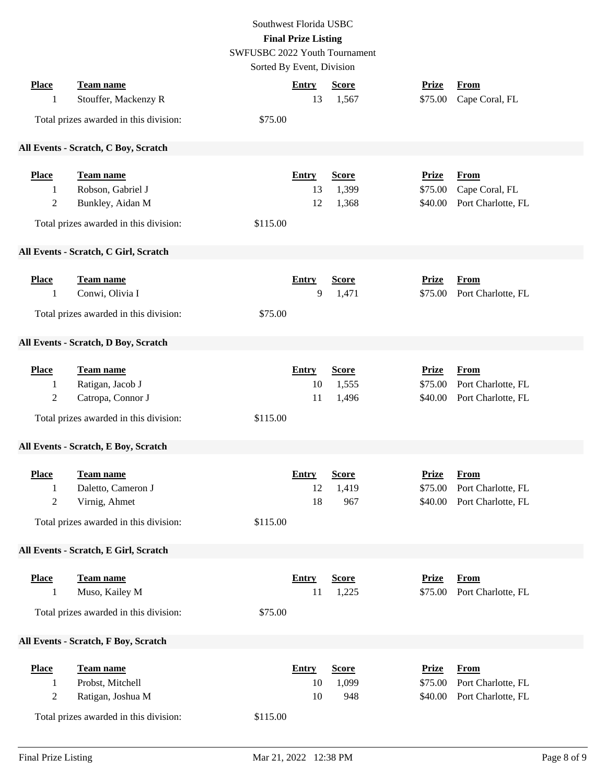|                |                                        | Southwest Florida USBC               |              |              |                    |  |
|----------------|----------------------------------------|--------------------------------------|--------------|--------------|--------------------|--|
|                |                                        | <b>Final Prize Listing</b>           |              |              |                    |  |
|                |                                        | <b>SWFUSBC 2022 Youth Tournament</b> |              |              |                    |  |
|                |                                        | Sorted By Event, Division            |              |              |                    |  |
|                |                                        |                                      |              |              |                    |  |
| <b>Place</b>   | Team name                              | <b>Entry</b>                         | <b>Score</b> | <b>Prize</b> | From               |  |
| 1              | Stouffer, Mackenzy R                   | 13                                   | 1,567        | \$75.00      | Cape Coral, FL     |  |
|                | Total prizes awarded in this division: | \$75.00                              |              |              |                    |  |
|                | All Events - Scratch, C Boy, Scratch   |                                      |              |              |                    |  |
| <b>Place</b>   | <b>Team name</b>                       | <b>Entry</b>                         | <b>Score</b> | <b>Prize</b> | <b>From</b>        |  |
| 1              | Robson, Gabriel J                      | 13                                   | 1,399        | \$75.00      | Cape Coral, FL     |  |
| $\overline{c}$ | Bunkley, Aidan M                       | 12                                   | 1,368        | \$40.00      | Port Charlotte, FL |  |
|                | Total prizes awarded in this division: | \$115.00                             |              |              |                    |  |
|                | All Events - Scratch, C Girl, Scratch  |                                      |              |              |                    |  |
| <b>Place</b>   | Team name                              | <b>Entry</b>                         | <b>Score</b> | <b>Prize</b> | <b>From</b>        |  |
| 1              | Conwi, Olivia I                        | 9                                    | 1,471        | \$75.00      | Port Charlotte, FL |  |
|                |                                        |                                      |              |              |                    |  |
|                | Total prizes awarded in this division: | \$75.00                              |              |              |                    |  |
|                | All Events - Scratch, D Boy, Scratch   |                                      |              |              |                    |  |
| <b>Place</b>   | Team name                              | <b>Entry</b>                         | <b>Score</b> | <b>Prize</b> | <b>From</b>        |  |
| 1              | Ratigan, Jacob J                       | 10                                   | 1,555        | \$75.00      | Port Charlotte, FL |  |
| $\overline{c}$ | Catropa, Connor J                      | 11                                   | 1,496        | \$40.00      | Port Charlotte, FL |  |
|                |                                        |                                      |              |              |                    |  |
|                | Total prizes awarded in this division: | \$115.00                             |              |              |                    |  |
|                | All Events - Scratch, E Boy, Scratch   |                                      |              |              |                    |  |
| <b>Place</b>   | <b>Team name</b>                       | <b>Entry</b>                         | <b>Score</b> | <b>Prize</b> | <b>From</b>        |  |
| 1              | Daletto, Cameron J                     | 12                                   | 1,419        | \$75.00      | Port Charlotte, FL |  |
| $\mathbf{2}$   | Virnig, Ahmet                          | 18                                   | 967          | \$40.00      | Port Charlotte, FL |  |
|                |                                        |                                      |              |              |                    |  |
|                | Total prizes awarded in this division: | \$115.00                             |              |              |                    |  |
|                | All Events - Scratch, E Girl, Scratch  |                                      |              |              |                    |  |
| <b>Place</b>   | Team name                              | <b>Entry</b>                         | <b>Score</b> | <b>Prize</b> | <b>From</b>        |  |
| 1              | Muso, Kailey M                         | 11                                   | 1,225        | \$75.00      | Port Charlotte, FL |  |
|                |                                        |                                      |              |              |                    |  |
|                | Total prizes awarded in this division: | \$75.00                              |              |              |                    |  |
|                | All Events - Scratch, F Boy, Scratch   |                                      |              |              |                    |  |
| <b>Place</b>   | Team name                              | <b>Entry</b>                         | <b>Score</b> | <b>Prize</b> | <b>From</b>        |  |
| 1              | Probst, Mitchell                       | 10                                   | 1,099        | \$75.00      | Port Charlotte, FL |  |
| $\overline{c}$ | Ratigan, Joshua M                      | 10                                   | 948          | \$40.00      | Port Charlotte, FL |  |
|                | Total prizes awarded in this division: | \$115.00                             |              |              |                    |  |
|                |                                        |                                      |              |              |                    |  |